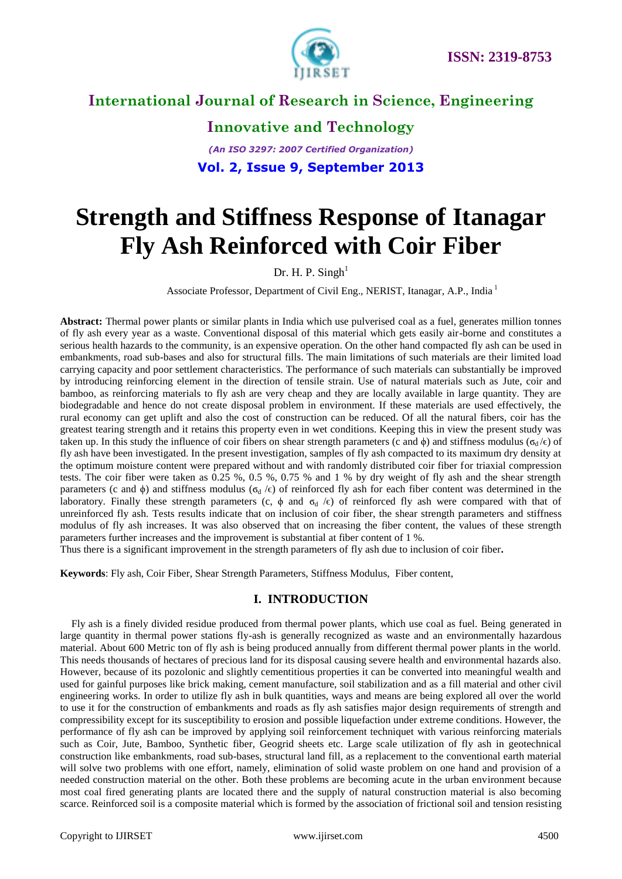

**Innovative and Technology** *(An ISO 3297: 2007 Certified Organization)* **Vol. 2, Issue 9, September 2013**

# **Strength and Stiffness Response of Itanagar Fly Ash Reinforced with Coir Fiber**

Dr. H. P. Singh $1$ 

Associate Professor, Department of Civil Eng., NERIST, Itanagar, A.P., India <sup>1</sup>

**Abstract:** Thermal power plants or similar plants in India which use pulverised coal as a fuel, generates million tonnes of fly ash every year as a waste. Conventional disposal of this material which gets easily air-borne and constitutes a serious health hazards to the community, is an expensive operation. On the other hand compacted fly ash can be used in embankments, road sub-bases and also for structural fills. The main limitations of such materials are their limited load carrying capacity and poor settlement characteristics. The performance of such materials can substantially be improved by introducing reinforcing element in the direction of tensile strain. Use of natural materials such as Jute, coir and bamboo, as reinforcing materials to fly ash are very cheap and they are locally available in large quantity. They are biodegradable and hence do not create disposal problem in environment. If these materials are used effectively, the rural economy can get uplift and also the cost of construction can be reduced. Of all the natural fibers, coir has the greatest tearing strength and it retains this property even in wet conditions. Keeping this in view the present study was taken up. In this study the influence of coir fibers on shear strength parameters (c and  $\phi$ ) and stiffness modulus ( $\sigma_d/\epsilon$ ) of fly ash have been investigated. In the present investigation, samples of fly ash compacted to its maximum dry density at the optimum moisture content were prepared without and with randomly distributed coir fiber for triaxial compression tests. The coir fiber were taken as 0.25 %, 0.5 %, 0.75 % and 1 % by dry weight of fly ash and the shear strength parameters (c and  $\phi$ ) and stiffness modulus ( $\sigma_d$  / $\epsilon$ ) of reinforced fly ash for each fiber content was determined in the laboratory. Finally these strength parameters (c,  $\phi$  and  $\sigma_d$  / $\epsilon$ ) of reinforced fly ash were compared with that of unreinforced fly ash. Tests results indicate that on inclusion of coir fiber, the shear strength parameters and stiffness modulus of fly ash increases. It was also observed that on increasing the fiber content, the values of these strength parameters further increases and the improvement is substantial at fiber content of 1 %.

Thus there is a significant improvement in the strength parameters of fly ash due to inclusion of coir fiber**.**

**Keywords**: Fly ash, Coir Fiber, Shear Strength Parameters, Stiffness Modulus, Fiber content,

#### **I. INTRODUCTION**

Fly ash is a finely divided residue produced from thermal power plants, which use coal as fuel. Being generated in large quantity in thermal power stations fly-ash is generally recognized as waste and an environmentally hazardous material. About 600 Metric ton of fly ash is being produced annually from different thermal power plants in the world. This needs thousands of hectares of precious land for its disposal causing severe health and environmental hazards also. However, because of its pozolonic and slightly cementitious properties it can be converted into meaningful wealth and used for gainful purposes like brick making, cement manufacture, soil stabilization and as a fill material and other civil engineering works. In order to utilize fly ash in bulk quantities, ways and means are being explored all over the world to use it for the construction of embankments and roads as fly ash satisfies major design requirements of strength and compressibility except for its susceptibility to erosion and possible liquefaction under extreme conditions. However, the performance of fly ash can be improved by applying soil reinforcement techniquet with various reinforcing materials such as Coir, Jute, Bamboo, Synthetic fiber, Geogrid sheets etc. Large scale utilization of fly ash in geotechnical construction like embankments, road sub-bases, structural land fill, as a replacement to the conventional earth material will solve two problems with one effort, namely, elimination of solid waste problem on one hand and provision of a needed construction material on the other. Both these problems are becoming acute in the urban environment because most coal fired generating plants are located there and the supply of natural construction material is also becoming scarce. Reinforced soil is a composite material which is formed by the association of frictional soil and tension resisting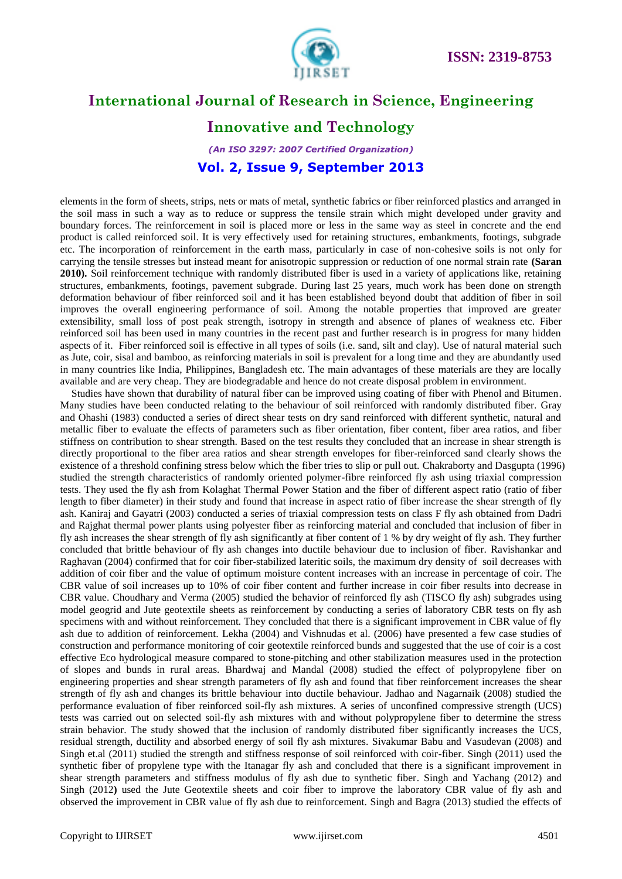

### **Innovative and Technology**

*(An ISO 3297: 2007 Certified Organization)* **Vol. 2, Issue 9, September 2013**

elements in the form of sheets, strips, nets or mats of metal, synthetic fabrics or fiber reinforced plastics and arranged in the soil mass in such a way as to reduce or suppress the tensile strain which might developed under gravity and boundary forces. The reinforcement in soil is placed more or less in the same way as steel in concrete and the end product is called reinforced soil. It is very effectively used for retaining structures, embankments, footings, subgrade etc. The incorporation of reinforcement in the earth mass, particularly in case of non-cohesive soils is not only for carrying the tensile stresses but instead meant for anisotropic suppression or reduction of one normal strain rate **(Saran 2010).** Soil reinforcement technique with randomly distributed fiber is used in a variety of applications like, retaining structures, embankments, footings, pavement subgrade. During last 25 years, much work has been done on strength deformation behaviour of fiber reinforced soil and it has been established beyond doubt that addition of fiber in soil improves the overall engineering performance of soil. Among the notable properties that improved are greater extensibility, small loss of post peak strength, isotropy in strength and absence of planes of weakness etc. Fiber reinforced soil has been used in many countries in the recent past and further research is in progress for many hidden aspects of it. Fiber reinforced soil is effective in all types of soils (i.e. sand, silt and clay). Use of natural material such as Jute, coir, sisal and bamboo, as reinforcing materials in soil is prevalent for a long time and they are abundantly used in many countries like India, Philippines, Bangladesh etc. The main advantages of these materials are they are locally available and are very cheap. They are biodegradable and hence do not create disposal problem in environment.

Studies have shown that durability of natural fiber can be improved using coating of fiber with Phenol and Bitumen. Many studies have been conducted relating to the behaviour of soil reinforced with randomly distributed fiber. Gray and Ohashi (1983) conducted a series of direct shear tests on dry sand reinforced with different synthetic, natural and metallic fiber to evaluate the effects of parameters such as fiber orientation, fiber content, fiber area ratios, and fiber stiffness on contribution to shear strength. Based on the test results they concluded that an increase in shear strength is directly proportional to the fiber area ratios and shear strength envelopes for fiber-reinforced sand clearly shows the existence of a threshold confining stress below which the fiber tries to slip or pull out. Chakraborty and Dasgupta (1996) studied the strength characteristics of randomly oriented polymer-fibre reinforced fly ash using triaxial compression tests. They used the fly ash from Kolaghat Thermal Power Station and the fiber of different aspect ratio (ratio of fiber length to fiber diameter) in their study and found that increase in aspect ratio of fiber increase the shear strength of fly ash. Kaniraj and Gayatri (2003) conducted a series of triaxial compression tests on class F fly ash obtained from Dadri and Rajghat thermal power plants using polyester fiber as reinforcing material and concluded that inclusion of fiber in fly ash increases the shear strength of fly ash significantly at fiber content of 1 % by dry weight of fly ash. They further concluded that brittle behaviour of fly ash changes into ductile behaviour due to inclusion of fiber. Ravishankar and Raghavan (2004) confirmed that for coir fiber-stabilized lateritic soils, the maximum dry density of soil decreases with addition of coir fiber and the value of optimum moisture content increases with an increase in percentage of coir. The CBR value of soil increases up to 10% of coir fiber content and further increase in coir fiber results into decrease in CBR value. Choudhary and Verma (2005) studied the behavior of reinforced fly ash (TISCO fly ash) subgrades using model geogrid and Jute geotextile sheets as reinforcement by conducting a series of laboratory CBR tests on fly ash specimens with and without reinforcement. They concluded that there is a significant improvement in CBR value of fly ash due to addition of reinforcement. Lekha (2004) and Vishnudas et al. (2006) have presented a few case studies of construction and performance monitoring of coir geotextile reinforced bunds and suggested that the use of coir is a cost effective Eco hydrological measure compared to stone-pitching and other stabilization measures used in the protection of slopes and bunds in rural areas. Bhardwaj and Mandal (2008) studied the effect of polypropylene fiber on engineering properties and shear strength parameters of fly ash and found that fiber reinforcement increases the shear strength of fly ash and changes its brittle behaviour into ductile behaviour. Jadhao and Nagarnaik (2008) studied the performance evaluation of fiber reinforced soil-fly ash mixtures. A series of unconfined compressive strength (UCS) tests was carried out on selected soil-fly ash mixtures with and without polypropylene fiber to determine the stress strain behavior. The study showed that the inclusion of randomly distributed fiber significantly increases the UCS, residual strength, ductility and absorbed energy of soil fly ash mixtures. Sivakumar Babu and Vasudevan (2008) and Singh et.al (2011) studied the strength and stiffness response of soil reinforced with coir-fiber. Singh (2011) used the synthetic fiber of propylene type with the Itanagar fly ash and concluded that there is a significant improvement in shear strength parameters and stiffness modulus of fly ash due to synthetic fiber. Singh and Yachang (2012) and Singh (2012**)** used the Jute Geotextile sheets and coir fiber to improve the laboratory CBR value of fly ash and observed the improvement in CBR value of fly ash due to reinforcement. Singh and Bagra (2013) studied the effects of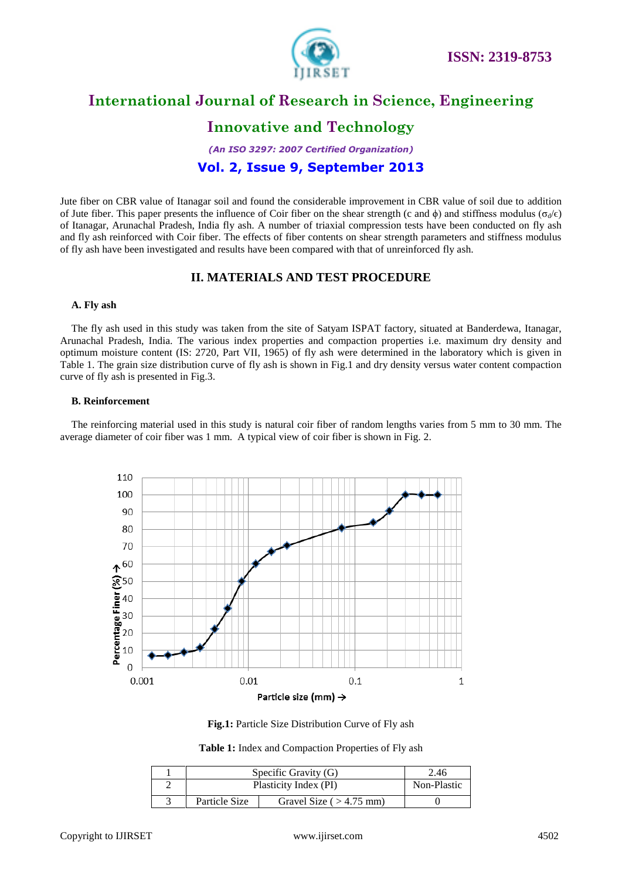

# **Innovative and Technology**

*(An ISO 3297: 2007 Certified Organization)*

### **Vol. 2, Issue 9, September 2013**

Jute fiber on CBR value of Itanagar soil and found the considerable improvement in CBR value of soil due to addition of Jute fiber. This paper presents the influence of Coir fiber on the shear strength (c and  $\phi$ ) and stiffness modulus ( $\sigma_d/\epsilon$ ) of Itanagar, Arunachal Pradesh, India fly ash. A number of triaxial compression tests have been conducted on fly ash and fly ash reinforced with Coir fiber. The effects of fiber contents on shear strength parameters and stiffness modulus of fly ash have been investigated and results have been compared with that of unreinforced fly ash.

#### **II. MATERIALS AND TEST PROCEDURE**

#### **A. Fly ash**

The fly ash used in this study was taken from the site of Satyam ISPAT factory, situated at Banderdewa, Itanagar, Arunachal Pradesh, India. The various index properties and compaction properties i.e. maximum dry density and optimum moisture content (IS: 2720, Part VII, 1965) of fly ash were determined in the laboratory which is given in Table 1. The grain size distribution curve of fly ash is shown in Fig.1 and dry density versus water content compaction curve of fly ash is presented in Fig.3.

#### **B. Reinforcement**

The reinforcing material used in this study is natural coir fiber of random lengths varies from 5 mm to 30 mm. The average diameter of coir fiber was 1 mm. A typical view of coir fiber is shown in Fig. 2.





**Table 1:** Index and Compaction Properties of Fly ash

|  | Specific Gravity (G)  | 2.46                      |  |
|--|-----------------------|---------------------------|--|
|  | Plasticity Index (PI) | Non-Plastic               |  |
|  | Particle Size         | Gravel Size ( $>4.75$ mm) |  |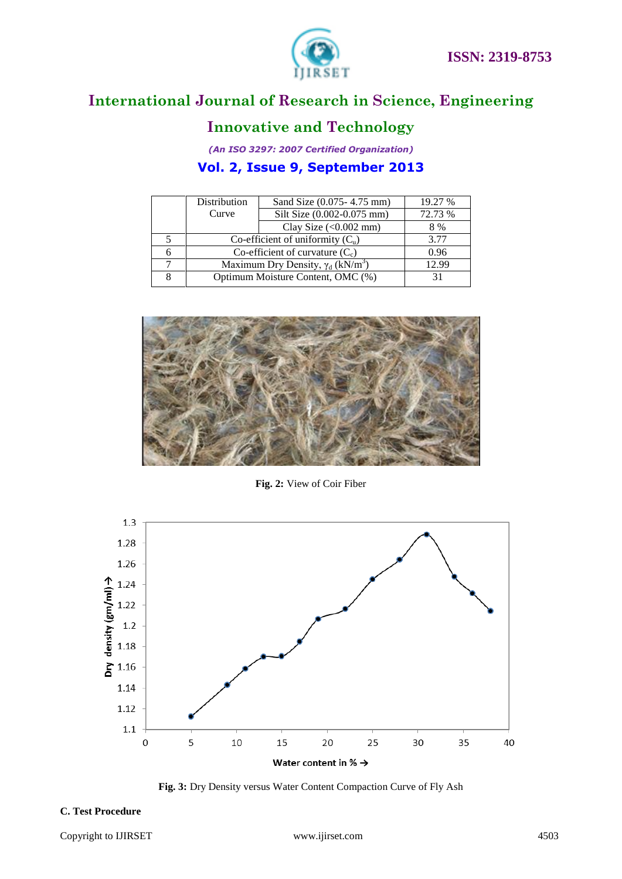

# **Innovative and Technology**

*(An ISO 3297: 2007 Certified Organization)*

### **Vol. 2, Issue 9, September 2013**

|   | Distribution                                         | Sand Size (0.075 - 4.75 mm)       | 19.27 % |  |
|---|------------------------------------------------------|-----------------------------------|---------|--|
|   | Curve                                                | Silt Size (0.002-0.075 mm)        | 72.73 % |  |
|   |                                                      | Clay Size $(<0.002$ mm)           | 8 %     |  |
|   | Co-efficient of uniformity $(C_u)$                   | 3.77                              |         |  |
| 6 | Co-efficient of curvature $(C_c)$                    | 0.96                              |         |  |
|   | Maximum Dry Density, $\gamma_d$ (kN/m <sup>3</sup> ) | 12.99                             |         |  |
| 8 |                                                      | Optimum Moisture Content, OMC (%) |         |  |
|   |                                                      |                                   |         |  |



**Fig. 2:** View of Coir Fiber



**Fig. 3:** Dry Density versus Water Content Compaction Curve of Fly Ash

#### **C. Test Procedure**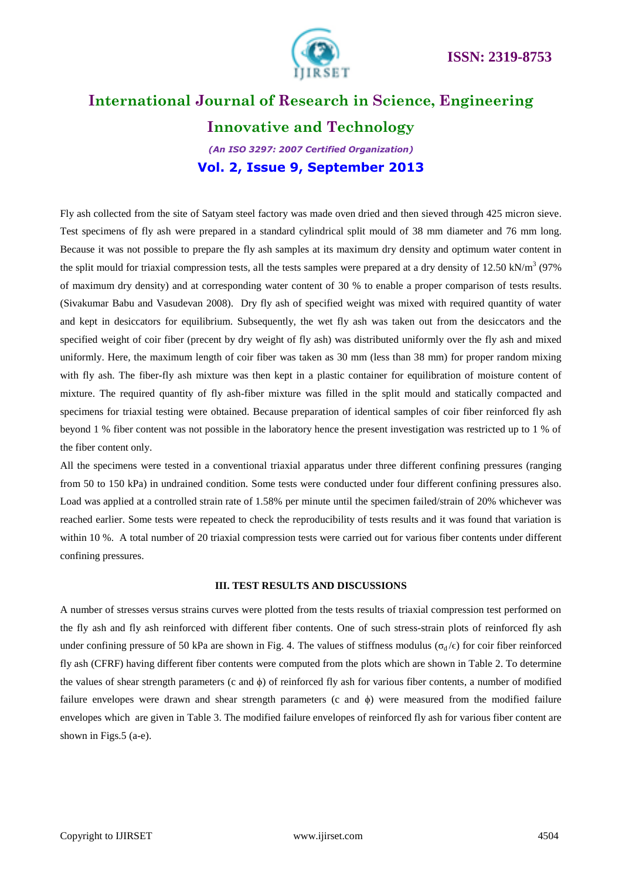

### **Innovative and Technology**

*(An ISO 3297: 2007 Certified Organization)* **Vol. 2, Issue 9, September 2013**

Fly ash collected from the site of Satyam steel factory was made oven dried and then sieved through 425 micron sieve. Test specimens of fly ash were prepared in a standard cylindrical split mould of 38 mm diameter and 76 mm long. Because it was not possible to prepare the fly ash samples at its maximum dry density and optimum water content in the split mould for triaxial compression tests, all the tests samples were prepared at a dry density of 12.50 kN/m<sup>3</sup> (97%) of maximum dry density) and at corresponding water content of 30 % to enable a proper comparison of tests results. (Sivakumar Babu and Vasudevan 2008). Dry fly ash of specified weight was mixed with required quantity of water and kept in desiccators for equilibrium. Subsequently, the wet fly ash was taken out from the desiccators and the specified weight of coir fiber (precent by dry weight of fly ash) was distributed uniformly over the fly ash and mixed uniformly. Here, the maximum length of coir fiber was taken as 30 mm (less than 38 mm) for proper random mixing with fly ash. The fiber-fly ash mixture was then kept in a plastic container for equilibration of moisture content of mixture. The required quantity of fly ash-fiber mixture was filled in the split mould and statically compacted and specimens for triaxial testing were obtained. Because preparation of identical samples of coir fiber reinforced fly ash beyond 1 % fiber content was not possible in the laboratory hence the present investigation was restricted up to 1 % of the fiber content only.

All the specimens were tested in a conventional triaxial apparatus under three different confining pressures (ranging from 50 to 150 kPa) in undrained condition. Some tests were conducted under four different confining pressures also. Load was applied at a controlled strain rate of 1.58% per minute until the specimen failed/strain of 20% whichever was reached earlier. Some tests were repeated to check the reproducibility of tests results and it was found that variation is within 10 %. A total number of 20 triaxial compression tests were carried out for various fiber contents under different confining pressures.

#### **III. TEST RESULTS AND DISCUSSIONS**

A number of stresses versus strains curves were plotted from the tests results of triaxial compression test performed on the fly ash and fly ash reinforced with different fiber contents. One of such stress-strain plots of reinforced fly ash under confining pressure of 50 kPa are shown in Fig. 4. The values of stiffness modulus ( $\sigma_d/\epsilon$ ) for coir fiber reinforced fly ash (CFRF) having different fiber contents were computed from the plots which are shown in Table 2. To determine the values of shear strength parameters (c and  $\phi$ ) of reinforced fly ash for various fiber contents, a number of modified failure envelopes were drawn and shear strength parameters (c and ϕ) were measured from the modified failure envelopes which are given in Table 3. The modified failure envelopes of reinforced fly ash for various fiber content are shown in Figs.5 (a-e).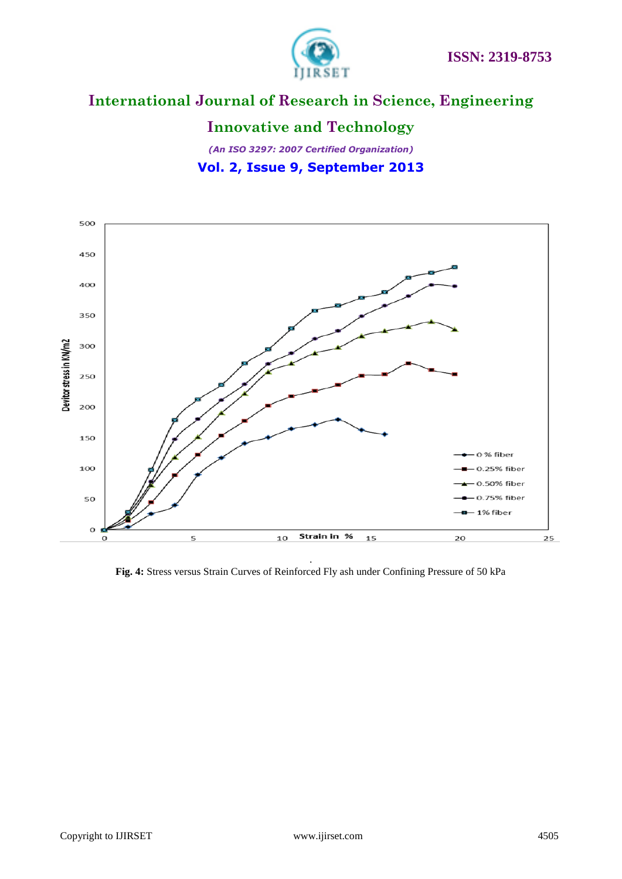

# **Innovative and Technology**

*(An ISO 3297: 2007 Certified Organization)* **Vol. 2, Issue 9, September 2013**



**Fig. 4:** Stress versus Strain Curves of Reinforced Fly ash under Confining Pressure of 50 kPa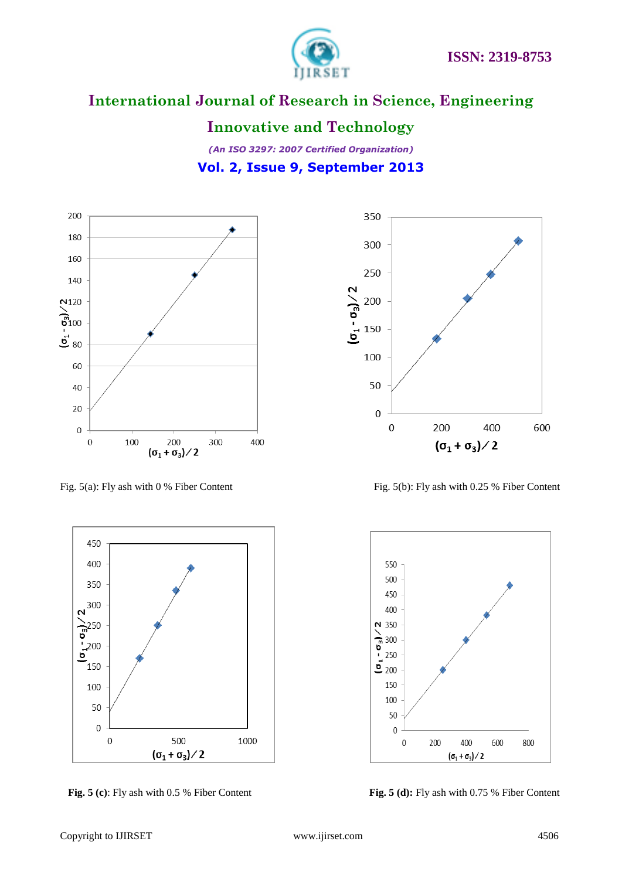

### **Innovative and Technology**













 **Fig. 5 (c)**: Fly ash with 0.5 % Fiber Content **Fig. 5 (d):** Fly ash with 0.75 % Fiber Content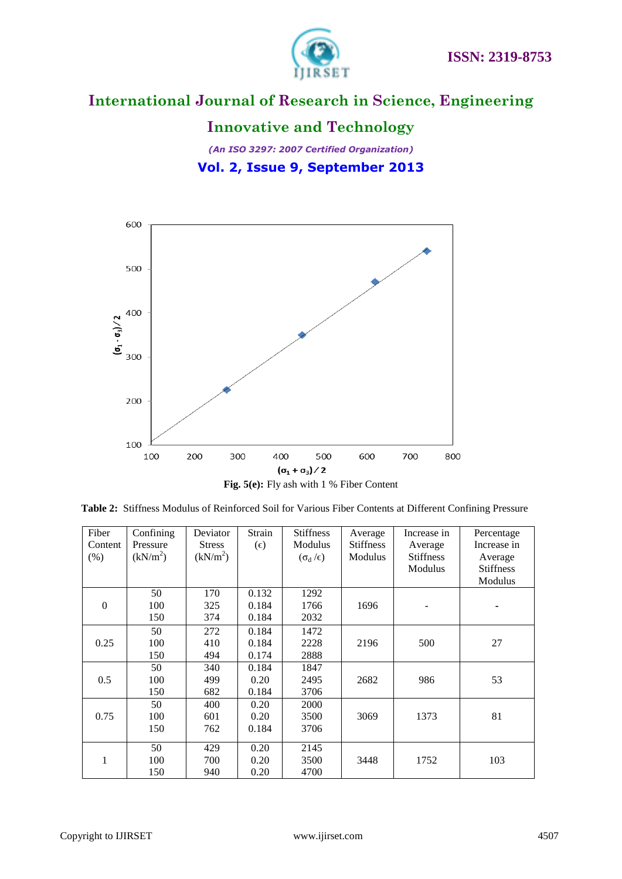

# **Innovative and Technology**

# *(An ISO 3297: 2007 Certified Organization)* **Vol. 2, Issue 9, September 2013**



| <b>Table 2:</b> Stiffness Modulus of Reinforced Soil for Various Fiber Contents at Different Confining Pressure |  |
|-----------------------------------------------------------------------------------------------------------------|--|
|-----------------------------------------------------------------------------------------------------------------|--|

| Fiber<br>Content<br>(% ) | Confining<br>Pressure<br>(kN/m <sup>2</sup> ) | Deviator<br><b>Stress</b><br>(kN/m <sup>2</sup> ) | Strain<br>$(\epsilon)$  | <b>Stiffness</b><br>Modulus<br>$(\sigma_d/\epsilon)$ | Average<br><b>Stiffness</b><br>Modulus | Increase in<br>Average<br><b>Stiffness</b><br>Modulus | Percentage<br>Increase in<br>Average<br><b>Stiffness</b><br>Modulus |
|--------------------------|-----------------------------------------------|---------------------------------------------------|-------------------------|------------------------------------------------------|----------------------------------------|-------------------------------------------------------|---------------------------------------------------------------------|
| $\Omega$                 | 50<br>100<br>150                              | 170<br>325<br>374                                 | 0.132<br>0.184<br>0.184 | 1292<br>1766<br>2032                                 | 1696                                   |                                                       |                                                                     |
| 0.25                     | 50<br>100<br>150                              | 272<br>410<br>494                                 | 0.184<br>0.184<br>0.174 | 1472<br>2228<br>2888                                 | 2196                                   | 500                                                   | 27                                                                  |
| 0.5                      | 50<br>100<br>150                              | 340<br>499<br>682                                 | 0.184<br>0.20<br>0.184  | 1847<br>2495<br>3706                                 | 2682                                   | 986                                                   | 53                                                                  |
| 0.75                     | 50<br>100<br>150                              | 400<br>601<br>762                                 | 0.20<br>0.20<br>0.184   | 2000<br>3500<br>3706                                 | 3069                                   | 1373                                                  | 81                                                                  |
| 1                        | 50<br>100<br>150                              | 429<br>700<br>940                                 | 0.20<br>0.20<br>0.20    | 2145<br>3500<br>4700                                 | 3448                                   | 1752                                                  | 103                                                                 |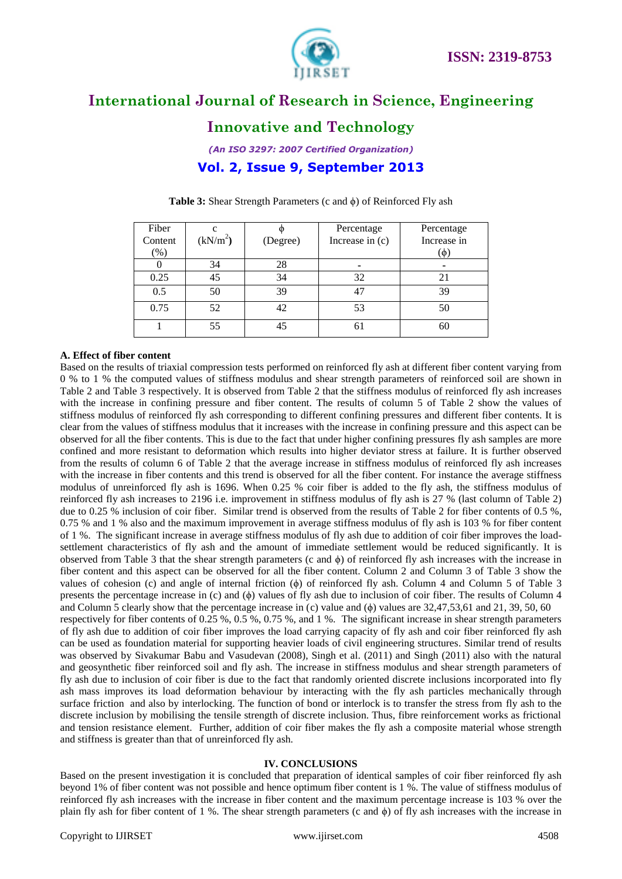



## **Innovative and Technology**

*(An ISO 3297: 2007 Certified Organization)*

### **Vol. 2, Issue 9, September 2013**

| Fiber   |                      |          | Percentage      | Percentage  |
|---------|----------------------|----------|-----------------|-------------|
| Content | (kN/m <sup>2</sup> ) | (Degree) | Increase in (c) | Increase in |
| $(\%)$  |                      |          |                 | $\phi$      |
|         | 34                   | 28       |                 |             |
| 0.25    | 45                   | 34       | 32              |             |
| 0.5     | 50                   | 39       | 47              | 39          |
| 0.75    | 52                   |          | 53              |             |
|         |                      |          |                 |             |

#### **Table 3:** Shear Strength Parameters (c and ϕ) of Reinforced Fly ash

#### **A. Effect of fiber content**

Based on the results of triaxial compression tests performed on reinforced fly ash at different fiber content varying from 0 % to 1 % the computed values of stiffness modulus and shear strength parameters of reinforced soil are shown in Table 2 and Table 3 respectively. It is observed from Table 2 that the stiffness modulus of reinforced fly ash increases with the increase in confining pressure and fiber content. The results of column 5 of Table 2 show the values of stiffness modulus of reinforced fly ash corresponding to different confining pressures and different fiber contents. It is clear from the values of stiffness modulus that it increases with the increase in confining pressure and this aspect can be observed for all the fiber contents. This is due to the fact that under higher confining pressures fly ash samples are more confined and more resistant to deformation which results into higher deviator stress at failure. It is further observed from the results of column 6 of Table 2 that the average increase in stiffness modulus of reinforced fly ash increases with the increase in fiber contents and this trend is observed for all the fiber content. For instance the average stiffness modulus of unreinforced fly ash is 1696. When 0.25 % coir fiber is added to the fly ash, the stiffness modulus of reinforced fly ash increases to 2196 i.e. improvement in stiffness modulus of fly ash is 27 % (last column of Table 2) due to 0.25 % inclusion of coir fiber. Similar trend is observed from the results of Table 2 for fiber contents of 0.5 %, 0.75 % and 1 % also and the maximum improvement in average stiffness modulus of fly ash is 103 % for fiber content of 1 %. The significant increase in average stiffness modulus of fly ash due to addition of coir fiber improves the loadsettlement characteristics of fly ash and the amount of immediate settlement would be reduced significantly. It is observed from Table 3 that the shear strength parameters (c and ϕ) of reinforced fly ash increases with the increase in fiber content and this aspect can be observed for all the fiber content. Column 2 and Column 3 of Table 3 show the values of cohesion (c) and angle of internal friction  $(\phi)$  of reinforced fly ash. Column 4 and Column 5 of Table 3 presents the percentage increase in  $(c)$  and  $(\phi)$  values of fly ash due to inclusion of coir fiber. The results of Column 4 and Column 5 clearly show that the percentage increase in (c) value and  $(\phi)$  values are 32,47,53,61 and 21, 39, 50, 60 respectively for fiber contents of 0.25 %, 0.5 %, 0.75 %, and 1 %. The significant increase in shear strength parameters of fly ash due to addition of coir fiber improves the load carrying capacity of fly ash and coir fiber reinforced fly ash can be used as foundation material for supporting heavier loads of civil engineering structures. Similar trend of results was observed by Sivakumar Babu and Vasudevan (2008), Singh et al. (2011) and Singh (2011) also with the natural and geosynthetic fiber reinforced soil and fly ash. The increase in stiffness modulus and shear strength parameters of fly ash due to inclusion of coir fiber is due to the fact that randomly oriented discrete inclusions incorporated into fly ash mass improves its load deformation behaviour by interacting with the fly ash particles mechanically through surface friction and also by interlocking. The function of bond or interlock is to transfer the stress from fly ash to the discrete inclusion by mobilising the tensile strength of discrete inclusion. Thus, fibre reinforcement works as frictional and tension resistance element. Further, addition of coir fiber makes the fly ash a composite material whose strength and stiffness is greater than that of unreinforced fly ash.

#### **IV. CONCLUSIONS**

Based on the present investigation it is concluded that preparation of identical samples of coir fiber reinforced fly ash beyond 1% of fiber content was not possible and hence optimum fiber content is 1 %. The value of stiffness modulus of reinforced fly ash increases with the increase in fiber content and the maximum percentage increase is 103 % over the plain fly ash for fiber content of 1 %. The shear strength parameters (c and  $\phi$ ) of fly ash increases with the increase in